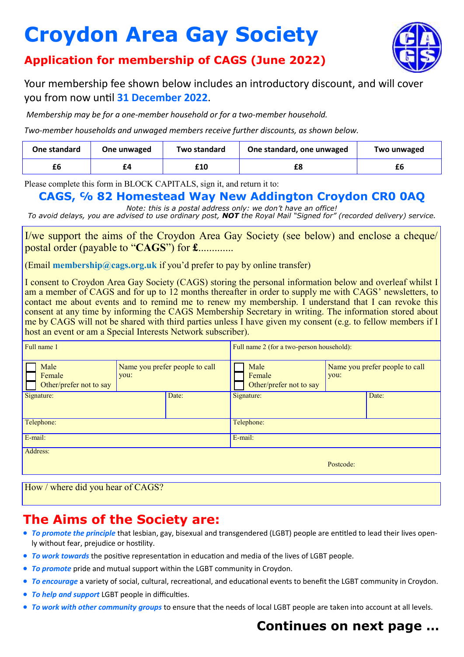# **Croydon Area Gay Society**



#### **Application for membership of CAGS (June 2022)**

Your membership fee shown below includes an introductory discount, and will cover you from now until **31 December 2022**.

*Membership may be for a one-member household or for a two-member household.* 

*Two-member households and unwaged members receive further discounts, as shown below.*

| One standard | One unwaged | Two standard | One standard, one unwaged | Two unwaged |
|--------------|-------------|--------------|---------------------------|-------------|
|              | £4          | £10          |                           |             |

Please complete this form in BLOCK CAPITALS, sign it, and return it to:

#### **CAGS, ℅ 82 Homestead Way New Addington Croydon CR0 0AQ**

*Note: this is a postal address only: we don't have an office! To avoid delays, you are advised to use ordinary post, NOT the Royal Mail "Signed for" (recorded delivery) service.*

I/we support the aims of the Croydon Area Gay Society (see below) and enclose a cheque/ postal order (payable to "**CAGS**") for **£**.............

(Email **membership@cags.org.uk** if you'd prefer to pay by online transfer)

I consent to Croydon Area Gay Society (CAGS) storing the personal information below and overleaf whilst I am a member of CAGS and for up to 12 months thereafter in order to supply me with CAGS' newsletters, to contact me about events and to remind me to renew my membership. I understand that I can revoke this consent at any time by informing the CAGS Membership Secretary in writing. The information stored about me by CAGS will not be shared with third parties unless I have given my consent (e.g. to fellow members if I host an event or am a Special Interests Network subscriber).

| Full name 1                               |                                        |       | Full name 2 (for a two-person household): |                                        |       |
|-------------------------------------------|----------------------------------------|-------|-------------------------------------------|----------------------------------------|-------|
| Male<br>Female<br>Other/prefer not to say | Name you prefer people to call<br>you: |       | Male<br>Female<br>Other/prefer not to say | Name you prefer people to call<br>you: |       |
| Signature:                                |                                        | Date: | Signature:                                |                                        | Date: |
| Telephone:                                |                                        |       | Telephone:                                |                                        |       |
| E-mail:                                   |                                        |       | E-mail:                                   |                                        |       |
| Address:                                  |                                        |       |                                           | Postcode:                              |       |

How / where did you hear of CAGS?

#### **The Aims of the Society are:**

- *To promote the principle* that lesbian, gay, bisexual and transgendered (LGBT) people are entitled to lead their lives openly without fear, prejudice or hostility.
- *To work towards* the positive representation in education and media of the lives of LGBT people.
- *To promote* pride and mutual support within the LGBT community in Croydon.
- *To encourage* a variety of social, cultural, recreational, and educational events to benefit the LGBT community in Croydon.
- *To help and support* LGBT people in difficulties.
- *To work with other community groups* to ensure that the needs of local LGBT people are taken into account at all levels.

### **Continues on next page …**